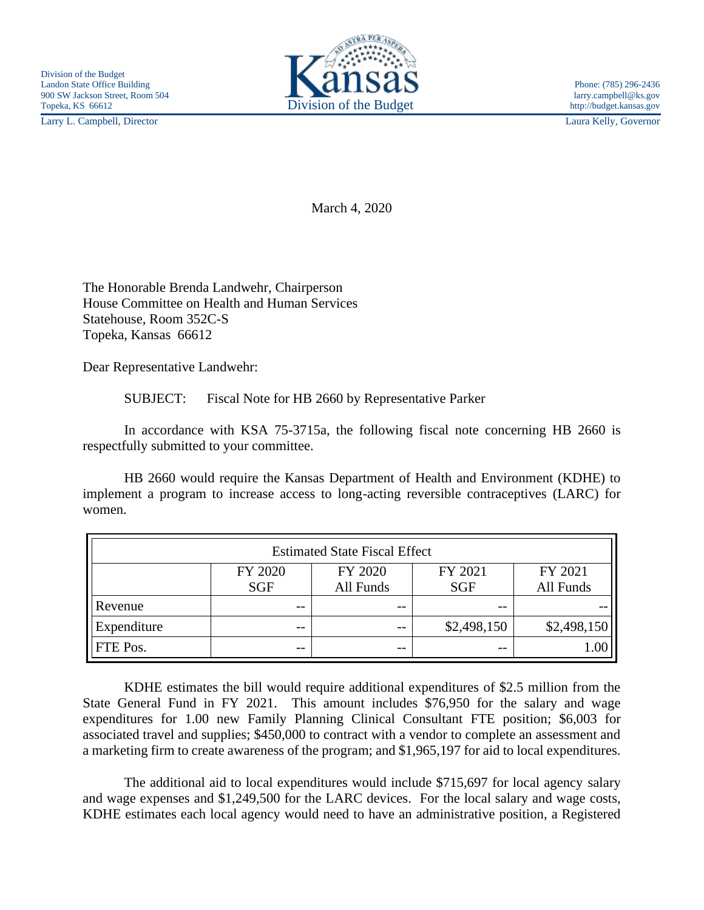Larry L. Campbell, Director Laura Kelly, Governor



March 4, 2020

The Honorable Brenda Landwehr, Chairperson House Committee on Health and Human Services Statehouse, Room 352C-S Topeka, Kansas 66612

Dear Representative Landwehr:

SUBJECT: Fiscal Note for HB 2660 by Representative Parker

In accordance with KSA 75-3715a, the following fiscal note concerning HB 2660 is respectfully submitted to your committee.

HB 2660 would require the Kansas Department of Health and Environment (KDHE) to implement a program to increase access to long-acting reversible contraceptives (LARC) for women.

| <b>Estimated State Fiscal Effect</b> |            |           |             |             |
|--------------------------------------|------------|-----------|-------------|-------------|
|                                      | FY 2020    | FY 2020   | FY 2021     | FY 2021     |
|                                      | <b>SGF</b> | All Funds | <b>SGF</b>  | All Funds   |
| Revenue                              | --         | --        | --          |             |
| Expenditure                          | --         | $ -$      | \$2,498,150 | \$2,498,150 |
| FTE Pos.                             | --         | $ -$      | $- -$       | 1.00        |

KDHE estimates the bill would require additional expenditures of \$2.5 million from the State General Fund in FY 2021. This amount includes \$76,950 for the salary and wage expenditures for 1.00 new Family Planning Clinical Consultant FTE position; \$6,003 for associated travel and supplies; \$450,000 to contract with a vendor to complete an assessment and a marketing firm to create awareness of the program; and \$1,965,197 for aid to local expenditures.

The additional aid to local expenditures would include \$715,697 for local agency salary and wage expenses and \$1,249,500 for the LARC devices. For the local salary and wage costs, KDHE estimates each local agency would need to have an administrative position, a Registered